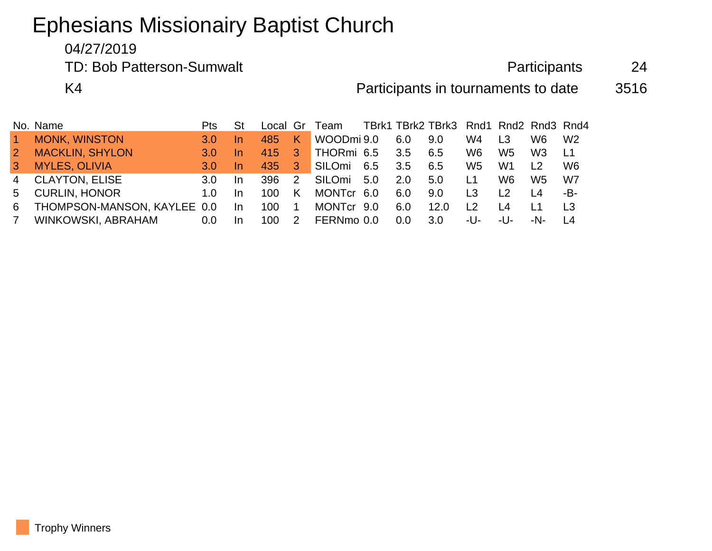## Ephesians Missionairy Baptist Church

04/27/2019

TD: Bob Patterson-Sumwalt **Participants** 24

K4 **Random Constructs** Participants in tournaments to date 3516

|                | No. Name                    | Pts              |           |      |                | Local Gr Team TBrk1 TBrk2 TBrk3 Rnd1 Rnd2 Rnd3 Rnd4 |     |     |                  |                                |                 |                 |                |
|----------------|-----------------------------|------------------|-----------|------|----------------|-----------------------------------------------------|-----|-----|------------------|--------------------------------|-----------------|-----------------|----------------|
| $\vert$ 1      | <b>MONK, WINSTON</b>        | 3.0              | In.       | 485  | K.             | WOODmi 9.0                                          |     | 6.0 | 9.0              | W4                             | L <sub>3</sub>  | W6.             | W <sub>2</sub> |
| $\overline{2}$ | <b>MACKLIN, SHYLON</b>      | 3.0 <sub>1</sub> | In.       | 415  | -3             | THORmi 6.5                                          |     | 3.5 | 6.5              | W6                             | W5              | W3              | L1             |
| $\mathbf{3}$   | <b>MYLES, OLIVIA</b>        | 3.0              | In.       | 435  | -3             | SILOmi 6.5                                          |     | 3.5 | 6.5              | W5                             | W1              |                 | W6             |
|                | 4 CLAYTON, ELISE            | 3.O              | <u>In</u> | 396  | $\mathcal{P}$  | SILOmi                                              | 5.0 | 2.0 | 5.0              | L <sub>1</sub>                 | W6.             | W5.             | W7             |
| 5              | <b>CURLIN, HONOR</b>        | 1.0              | <u>In</u> | 100. | K.             | MONTcr 6.0                                          |     | 6.0 | 9.0              | L <sub>3</sub>                 | $\overline{2}$  | I 4             | -B-            |
| 6.             | THOMPSON-MANSON, KAYLEE 0.0 |                  | -In       | 100  | $\overline{1}$ | MONTcr 9.0                                          |     | 6.0 | 12.0             | $\begin{array}{c} \end{array}$ | $\overline{14}$ | $\overline{11}$ | L <sub>3</sub> |
| 7              | WINKOWSKI, ABRAHAM          | 0.0              | In.       | 100  | 2              | FERNmo 0.0                                          |     | 0.0 | 3.0 <sub>2</sub> | -U-                            | -U-             | -N-             |                |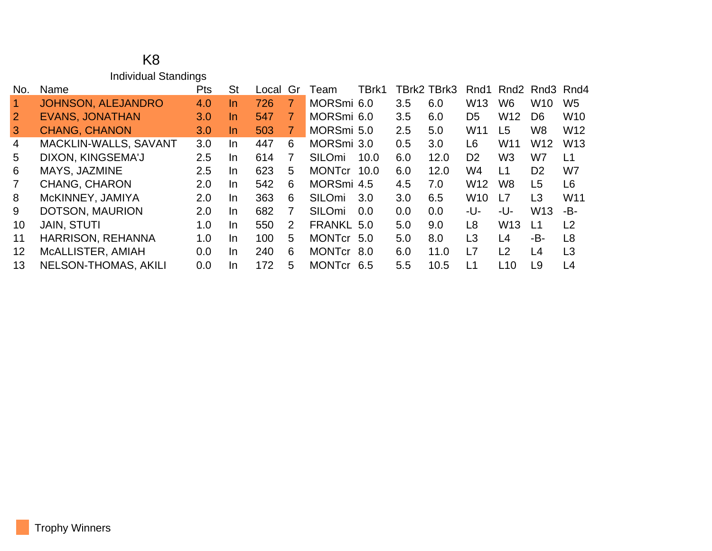## K8 Individual Standings

| No.            | Name                        | <b>Pts</b>       | St        | Local | Gr | Team          | TBrk1 |     | TBrk2 TBrk3 |                 | Rnd1 Rnd2 Rnd3 Rnd4 |                  |                 |
|----------------|-----------------------------|------------------|-----------|-------|----|---------------|-------|-----|-------------|-----------------|---------------------|------------------|-----------------|
|                | JOHNSON, ALEJANDRO          | 4.0              | <u>In</u> | 726   | 7  | MORSmi 6.0    |       | 3.5 | 6.0         | W <sub>13</sub> | W <sub>6</sub>      | W10              | W <sub>5</sub>  |
| $\overline{2}$ | <b>EVANS, JONATHAN</b>      | 3.0              | In.       | 547   | 7  | MORSmi 6.0    |       | 3.5 | 6.0         | D <sub>5</sub>  | W <sub>12</sub>     | D <sub>6</sub>   | <b>W10</b>      |
| 3              | <b>CHANG, CHANON</b>        | 3.0 <sub>2</sub> | In.       | 503   | 7  | MORSmi 5.0    |       | 2.5 | 5.0         | W <sub>11</sub> | L <sub>5</sub>      | W <sub>8</sub>   | W <sub>12</sub> |
| 4              | MACKLIN-WALLS, SAVANT       | 3.0              | In.       | 447   | 6  | MORSmi 3.0    |       | 0.5 | 3.0         | L6              | W11                 | W <sub>12</sub>  | W <sub>13</sub> |
| 5              | DIXON, KINGSEMA'J           | 2.5              | In.       | 614   | 7  | <b>SILOmi</b> | 10.0  | 6.0 | 12.0        | D <sub>2</sub>  | W <sub>3</sub>      | W7               | L1              |
| 6              | MAYS, JAZMINE               | 2.5              | In.       | 623   | 5  | <b>MONTcr</b> | 10.0  | 6.0 | 12.0        | W4              | L1                  | D <sub>2</sub>   | W7              |
| 7              | <b>CHANG, CHARON</b>        | 2.0              | In.       | 542   | 6  | MORSmi 4.5    |       | 4.5 | 7.0         | W <sub>12</sub> | W <sub>8</sub>      | L <sub>5</sub>   | L <sub>6</sub>  |
| 8              | McKINNEY, JAMIYA            | 2.0              | In.       | 363   | 6  | <b>SILOmi</b> | 3.0   | 3.0 | 6.5         | W <sub>10</sub> | L7                  | L3               | W11             |
| 9              | DOTSON, MAURION             | 2.0              | In        | 682   | 7  | SILOmi        | 0.0   | 0.0 | 0.0         | -U-             | -U-                 | W <sub>13</sub>  | -В-             |
| 10             | <b>JAIN, STUTI</b>          | 1.0              | In.       | 550   | 2  | FRANKL 5.0    |       | 5.0 | 9.0         | L8              | W <sub>13</sub>     | $\overline{1}$ 1 | L <sub>2</sub>  |
| 11             | <b>HARRISON, REHANNA</b>    | 1.0              | In.       | 100   | 5  | <b>MONTcr</b> | -5.0  | 5.0 | 8.0         | L <sub>3</sub>  | L4                  | -B-              | L <sub>8</sub>  |
| $12 \,$        | MCALLISTER, AMIAH           | 0.0              | In.       | 240   | 6  | <b>MONTcr</b> | 8.0   | 6.0 | 11.0        | L7              | L2                  | L4               | L3              |
| 13             | <b>NELSON-THOMAS, AKILI</b> | 0.0              | In.       | 172   | 5  | <b>MONTcr</b> | -6.5  | 5.5 | 10.5        | L1              | L10                 | L9               | L4              |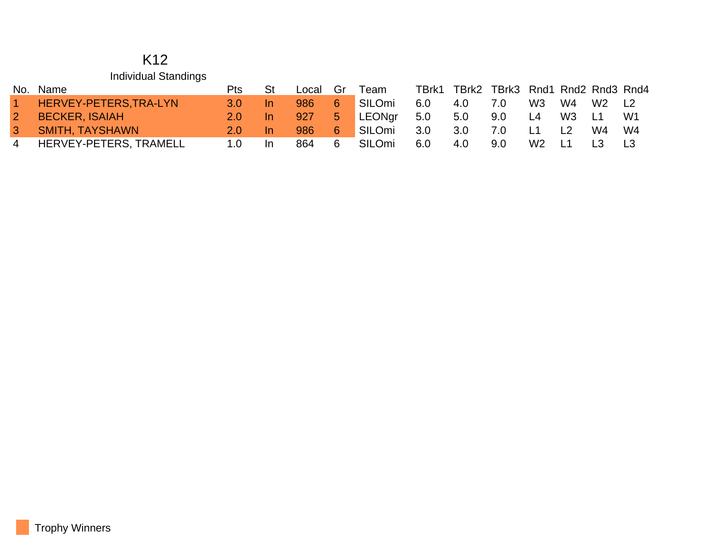## K12 Individual Standings

|                | No. Name               | Pts           | <b>St</b> | Local Gr |                | Team   | TBrk1 | TBrk2 | TBrk3 Rnd1 Rnd2 Rnd3 Rnd4 |                |                |                |                |
|----------------|------------------------|---------------|-----------|----------|----------------|--------|-------|-------|---------------------------|----------------|----------------|----------------|----------------|
| $1 -$          | HERVEY-PETERS, TRA-LYN | $3.0^{\circ}$ |           | 986      | 6              | SILOmi | 6.0   | 4.0   | 7.0                       | W3             | W4             | W2             | L <sub>2</sub> |
| 2 <sup>2</sup> | <b>BECKER, ISAIAH</b>  |               |           | 927      | 5 <sub>1</sub> | LEONgr | 5.0   | 5.0   | 9.0                       | L4             | W3             | L <sub>1</sub> | W1             |
| 3 <sup>1</sup> | <b>SMITH, TAYSHAWN</b> | $2.0^{\circ}$ |           | 986      | 6              | SILOmi | 3.0   | 3.0   | 7.0                       |                | L <sub>2</sub> | W4             | W4             |
| $\overline{4}$ | HERVEY-PETERS, TRAMELL | 1.0           | -In       | 864      | -6             | SILOmi | 6.0   | 4.0   | 9.0                       | W <sub>2</sub> | L1             |                |                |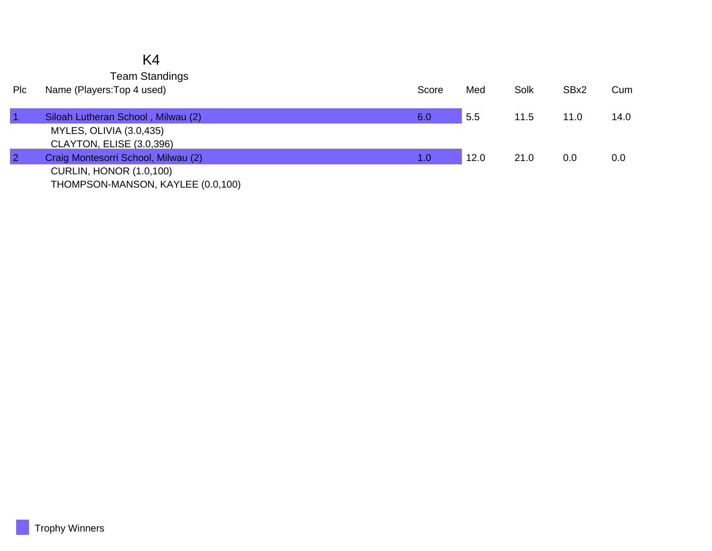|            | K4                                  |       |      |      |      |      |
|------------|-------------------------------------|-------|------|------|------|------|
|            | <b>Team Standings</b>               |       |      |      |      |      |
| <b>PIc</b> | Name (Players: Top 4 used)          | Score | Med  | Solk | SBx2 | Cum  |
|            | Siloah Lutheran School, Milwau (2)  | 6.0   | 5.5  | 11.5 | 11.0 | 14.0 |
|            | MYLES, OLIVIA (3.0,435)             |       |      |      |      |      |
|            | CLAYTON, ELISE (3.0,396)            |       |      |      |      |      |
|            | Craig Montesorri School, Milwau (2) | 1.0   | 12.0 | 21.0 | 0.0  | 0.0  |
|            | <b>CURLIN, HONOR (1.0,100)</b>      |       |      |      |      |      |
|            | THOMPSON-MANSON, KAYLEE (0.0,100)   |       |      |      |      |      |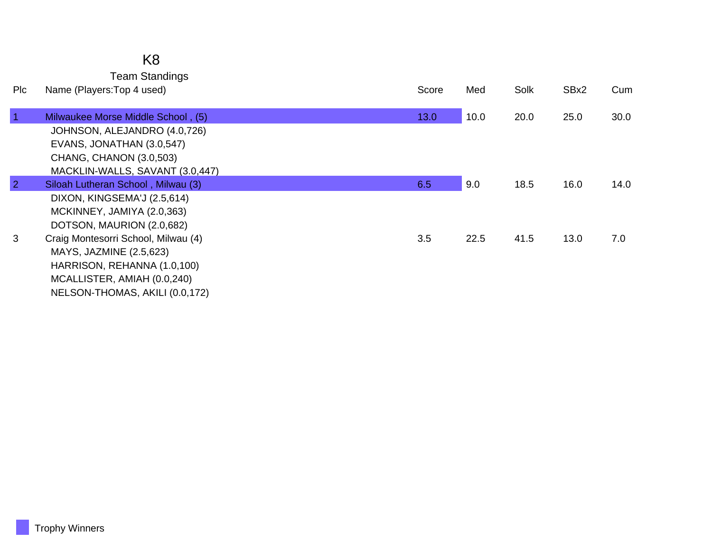## K8 Team Standings

| <b>PIC</b>     | Name (Players: Top 4 used)          | Score | Med  | Solk | SBx2 | Cum  |
|----------------|-------------------------------------|-------|------|------|------|------|
| $\overline{1}$ | Milwaukee Morse Middle School, (5)  | 13.0  | 10.0 | 20.0 | 25.0 | 30.0 |
|                | JOHNSON, ALEJANDRO (4.0,726)        |       |      |      |      |      |
|                | EVANS, JONATHAN (3.0,547)           |       |      |      |      |      |
|                | CHANG, CHANON (3.0,503)             |       |      |      |      |      |
|                | MACKLIN-WALLS, SAVANT (3.0,447)     |       |      |      |      |      |
| $\overline{2}$ | Siloah Lutheran School, Milwau (3)  | 6.5   | 9.0  | 18.5 | 16.0 | 14.0 |
|                | DIXON, KINGSEMA'J (2.5,614)         |       |      |      |      |      |
|                | MCKINNEY, JAMIYA (2.0,363)          |       |      |      |      |      |
|                | DOTSON, MAURION (2.0,682)           |       |      |      |      |      |
| 3              | Craig Montesorri School, Milwau (4) | 3.5   | 22.5 | 41.5 | 13.0 | 7.0  |
|                | MAYS, JAZMINE (2.5,623)             |       |      |      |      |      |
|                | HARRISON, REHANNA (1.0,100)         |       |      |      |      |      |
|                | MCALLISTER, AMIAH (0.0,240)         |       |      |      |      |      |
|                | NELSON-THOMAS, AKILI (0.0,172)      |       |      |      |      |      |